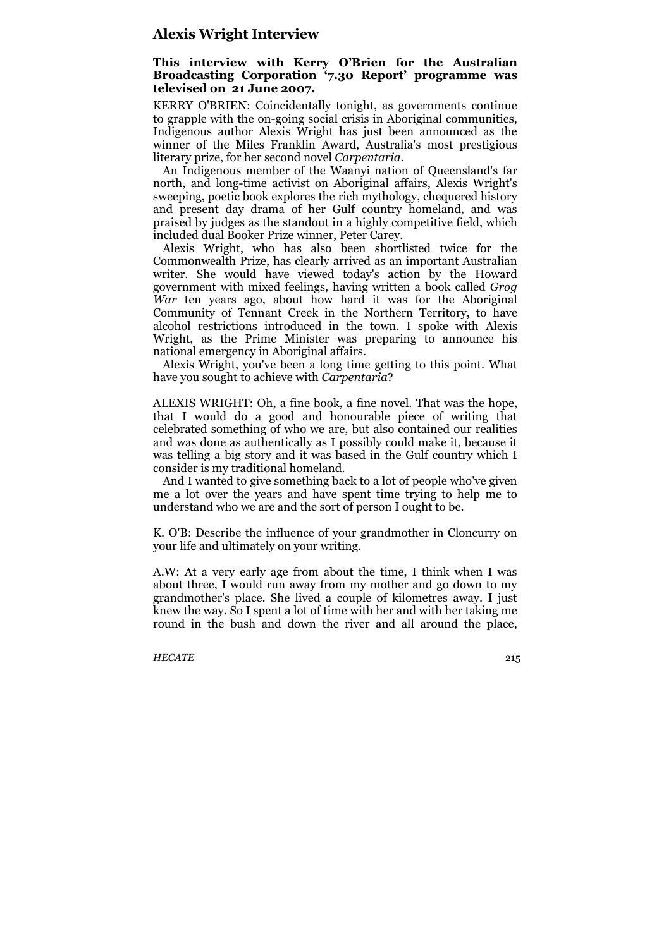## **Alexis Wright Interview**

## **This interview with Kerry O'Brien for the Australian Broadcasting Corporation '7.30 Report' programme was televised on 21 June 2007.**

KERRY O'BRIEN: Coincidentally tonight, as governments continue to grapple with the on-going social crisis in Aboriginal communities, Indigenous author Alexis Wright has just been announced as the winner of the Miles Franklin Award, Australia's most prestigious literary prize, for her second novel *Carpentaria*.

An Indigenous member of the Waanyi nation of Queensland's far north, and long-time activist on Aboriginal affairs, Alexis Wright's sweeping, poetic book explores the rich mythology, chequered history and present day drama of her Gulf country homeland, and was praised by judges as the standout in a highly competitive field, which included dual Booker Prize winner, Peter Carey.

Alexis Wright, who has also been shortlisted twice for the Commonwealth Prize, has clearly arrived as an important Australian writer. She would have viewed today's action by the Howard government with mixed feelings, having written a book called *Grog War* ten years ago, about how hard it was for the Aboriginal Community of Tennant Creek in the Northern Territory, to have alcohol restrictions introduced in the town. I spoke with Alexis Wright, as the Prime Minister was preparing to announce his national emergency in Aboriginal affairs.

Alexis Wright, you've been a long time getting to this point. What have you sought to achieve with *Carpentaria*?

ALEXIS WRIGHT: Oh, a fine book, a fine novel. That was the hope, that I would do a good and honourable piece of writing that celebrated something of who we are, but also contained our realities and was done as authentically as I possibly could make it, because it was telling a big story and it was based in the Gulf country which I consider is my traditional homeland.

And I wanted to give something back to a lot of people who've given me a lot over the years and have spent time trying to help me to understand who we are and the sort of person I ought to be.

K. O'B: Describe the influence of your grandmother in Cloncurry on your life and ultimately on your writing.

A.W: At a very early age from about the time, I think when I was about three, I would run away from my mother and go down to my grandmother's place. She lived a couple of kilometres away. I just knew the way. So I spent a lot of time with her and with her taking me round in the bush and down the river and all around the place,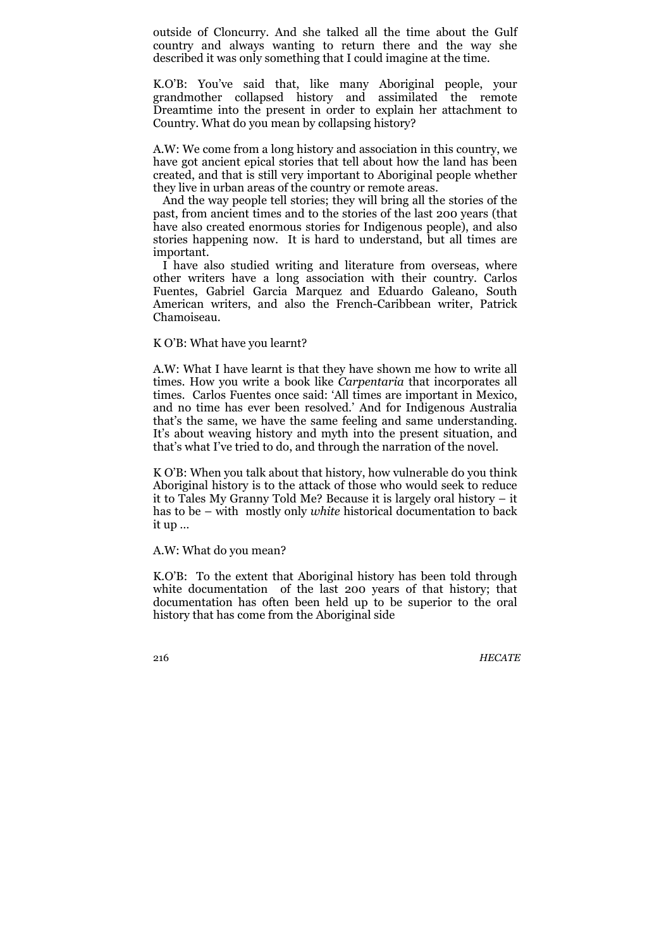outside of Cloncurry. And she talked all the time about the Gulf country and always wanting to return there and the way she described it was only something that I could imagine at the time.

K.O'B: You've said that, like many Aboriginal people, your grandmother collapsed history and assimilated the remote Dreamtime into the present in order to explain her attachment to Country. What do you mean by collapsing history?

A.W: We come from a long history and association in this country, we have got ancient epical stories that tell about how the land has been created, and that is still very important to Aboriginal people whether they live in urban areas of the country or remote areas.

And the way people tell stories; they will bring all the stories of the past, from ancient times and to the stories of the last 200 years (that have also created enormous stories for Indigenous people), and also stories happening now. It is hard to understand, but all times are important.

I have also studied writing and literature from overseas, where other writers have a long association with their country. Carlos Fuentes, Gabriel Garcia Marquez and Eduardo Galeano, South American writers, and also the French-Caribbean writer, Patrick Chamoiseau.

## K O'B: What have you learnt?

A.W: What I have learnt is that they have shown me how to write all times. How you write a book like *Carpentaria* that incorporates all times. Carlos Fuentes once said: 'All times are important in Mexico, and no time has ever been resolved.' And for Indigenous Australia that's the same, we have the same feeling and same understanding. It's about weaving history and myth into the present situation, and that's what I've tried to do, and through the narration of the novel.

K O'B: When you talk about that history, how vulnerable do you think Aboriginal history is to the attack of those who would seek to reduce it to Tales My Granny Told Me? Because it is largely oral history – it has to be – with mostly only *white* historical documentation to back it up …

A.W: What do you mean?

K.O'B: To the extent that Aboriginal history has been told through white documentation of the last 200 years of that history; that documentation has often been held up to be superior to the oral history that has come from the Aboriginal side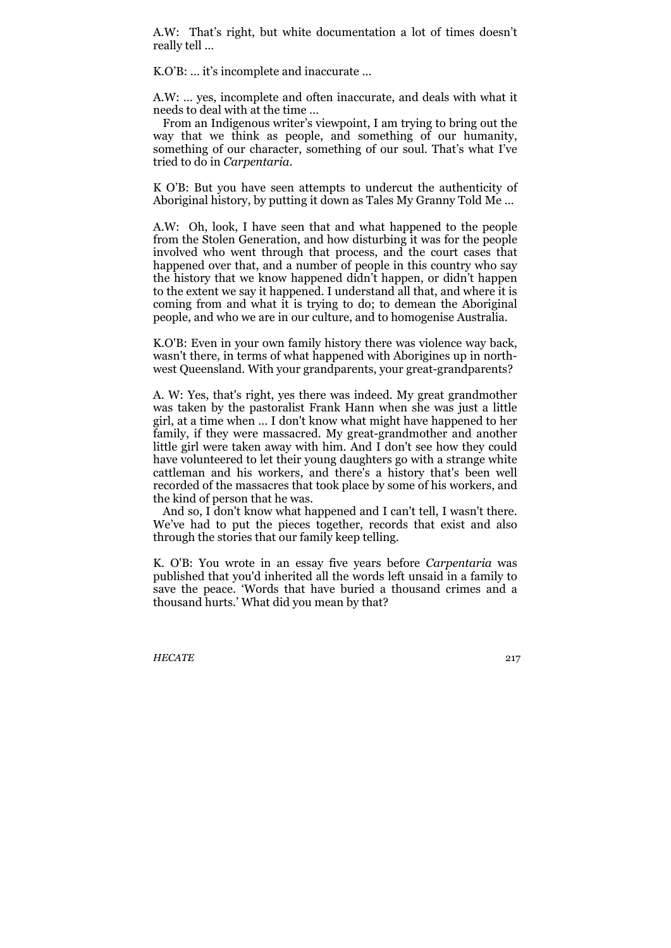A.W: That's right, but white documentation a lot of times doesn't really tell …

K.O'B: … it's incomplete and inaccurate …

A.W: … yes, incomplete and often inaccurate, and deals with what it needs to deal with at the time …

From an Indigenous writer's viewpoint, I am trying to bring out the way that we think as people, and something of our humanity, something of our character, something of our soul. That's what I've tried to do in *Carpentaria*.

K O'B: But you have seen attempts to undercut the authenticity of Aboriginal history, by putting it down as Tales My Granny Told Me …

A.W: Oh, look, I have seen that and what happened to the people from the Stolen Generation, and how disturbing it was for the people involved who went through that process, and the court cases that happened over that, and a number of people in this country who say the history that we know happened didn't happen, or didn't happen to the extent we say it happened. I understand all that, and where it is coming from and what it is trying to do; to demean the Aboriginal people, and who we are in our culture, and to homogenise Australia.

K.O'B: Even in your own family history there was violence way back, wasn't there, in terms of what happened with Aborigines up in northwest Queensland. With your grandparents, your great-grandparents?

A. W: Yes, that's right, yes there was indeed. My great grandmother was taken by the pastoralist Frank Hann when she was just a little girl, at a time when … I don't know what might have happened to her family, if they were massacred. My great-grandmother and another little girl were taken away with him. And I don't see how they could have volunteered to let their young daughters go with a strange white cattleman and his workers, and there's a history that's been well recorded of the massacres that took place by some of his workers, and the kind of person that he was.

And so, I don't know what happened and I can't tell, I wasn't there. We've had to put the pieces together, records that exist and also through the stories that our family keep telling.

K. O'B: You wrote in an essay five years before *Carpentaria* was published that you'd inherited all the words left unsaid in a family to save the peace. 'Words that have buried a thousand crimes and a thousand hurts.' What did you mean by that?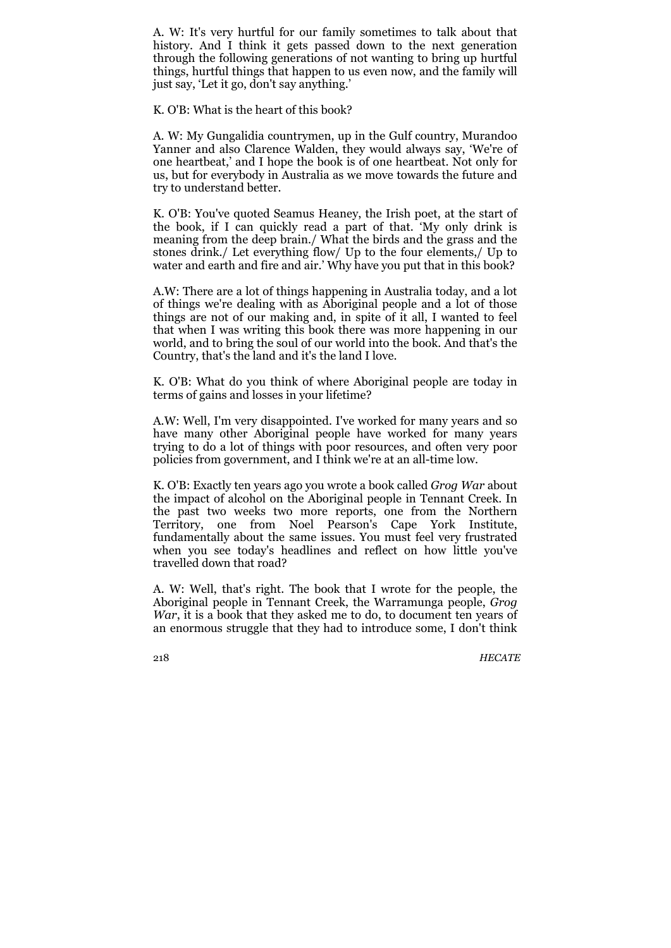A. W: It's very hurtful for our family sometimes to talk about that history. And I think it gets passed down to the next generation through the following generations of not wanting to bring up hurtful things, hurtful things that happen to us even now, and the family will just say, 'Let it go, don't say anything.'

K. O'B: What is the heart of this book?

A. W: My Gungalidia countrymen, up in the Gulf country, Murandoo Yanner and also Clarence Walden, they would always say, 'We're of one heartbeat,' and I hope the book is of one heartbeat. Not only for us, but for everybody in Australia as we move towards the future and try to understand better.

K. O'B: You've quoted Seamus Heaney, the Irish poet, at the start of the book, if I can quickly read a part of that. 'My only drink is meaning from the deep brain./ What the birds and the grass and the stones drink./ Let everything flow/ Up to the four elements,/ Up to water and earth and fire and air.' Why have you put that in this book?

A.W: There are a lot of things happening in Australia today, and a lot of things we're dealing with as Aboriginal people and a lot of those things are not of our making and, in spite of it all, I wanted to feel that when I was writing this book there was more happening in our world, and to bring the soul of our world into the book. And that's the Country, that's the land and it's the land I love.

K. O'B: What do you think of where Aboriginal people are today in terms of gains and losses in your lifetime?

A.W: Well, I'm very disappointed. I've worked for many years and so have many other Aboriginal people have worked for many years trying to do a lot of things with poor resources, and often very poor policies from government, and I think we're at an all-time low.

K. O'B: Exactly ten years ago you wrote a book called *Grog War* about the impact of alcohol on the Aboriginal people in Tennant Creek. In the past two weeks two more reports, one from the Northern Territory, one from Noel Pearson's Cape York Institute, fundamentally about the same issues. You must feel very frustrated when you see today's headlines and reflect on how little you've travelled down that road?

A. W: Well, that's right. The book that I wrote for the people, the Aboriginal people in Tennant Creek, the Warramunga people, *Grog War*, it is a book that they asked me to do, to document ten years of an enormous struggle that they had to introduce some, I don't think